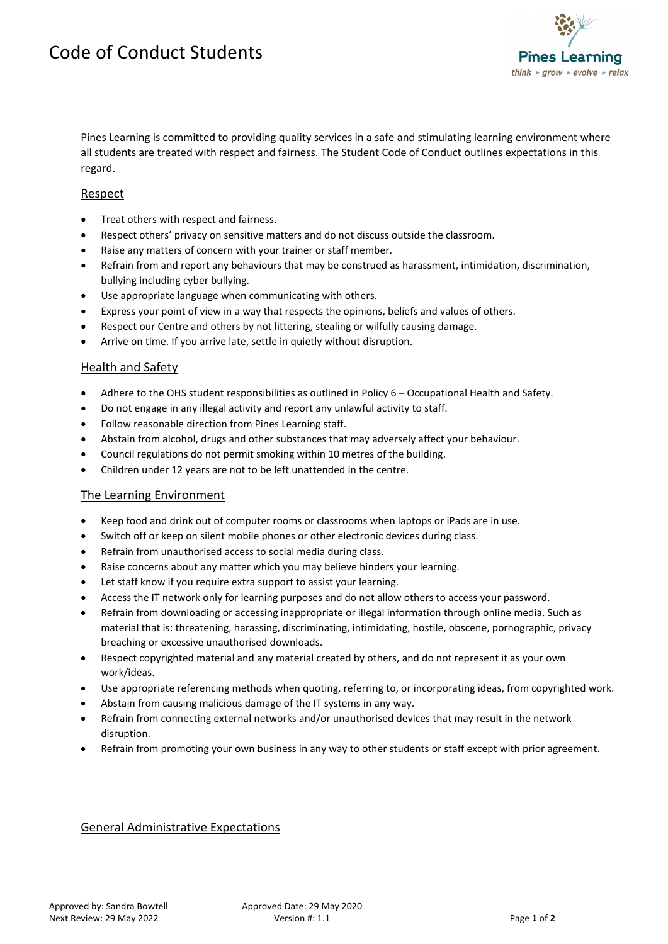

Pines Learning is committed to providing quality services in a safe and stimulating learning environment where all students are treated with respect and fairness. The Student Code of Conduct outlines expectations in this regard.

# Respect

- Treat others with respect and fairness.
- Respect others' privacy on sensitive matters and do not discuss outside the classroom.
- Raise any matters of concern with your trainer or staff member.
- Refrain from and report any behaviours that may be construed as harassment, intimidation, discrimination, bullying including cyber bullying.
- Use appropriate language when communicating with others.
- Express your point of view in a way that respects the opinions, beliefs and values of others.
- Respect our Centre and others by not littering, stealing or wilfully causing damage.
- Arrive on time. If you arrive late, settle in quietly without disruption.

### Health and Safety

- Adhere to the OHS student responsibilities as outlined in Policy 6 Occupational Health and Safety.
- Do not engage in any illegal activity and report any unlawful activity to staff.
- Follow reasonable direction from Pines Learning staff.
- Abstain from alcohol, drugs and other substances that may adversely affect your behaviour.
- Council regulations do not permit smoking within 10 metres of the building.
- Children under 12 years are not to be left unattended in the centre.

### The Learning Environment

- Keep food and drink out of computer rooms or classrooms when laptops or iPads are in use.
- Switch off or keep on silent mobile phones or other electronic devices during class.
- Refrain from unauthorised access to social media during class.
- Raise concerns about any matter which you may believe hinders your learning.
- Let staff know if you require extra support to assist your learning.
- Access the IT network only for learning purposes and do not allow others to access your password.
- Refrain from downloading or accessing inappropriate or illegal information through online media. Such as material that is: threatening, harassing, discriminating, intimidating, hostile, obscene, pornographic, privacy breaching or excessive unauthorised downloads.
- Respect copyrighted material and any material created by others, and do not represent it as your own work/ideas.
- Use appropriate referencing methods when quoting, referring to, or incorporating ideas, from copyrighted work.
- Abstain from causing malicious damage of the IT systems in any way.
- Refrain from connecting external networks and/or unauthorised devices that may result in the network disruption.
- Refrain from promoting your own business in any way to other students or staff except with prior agreement.

### General Administrative Expectations